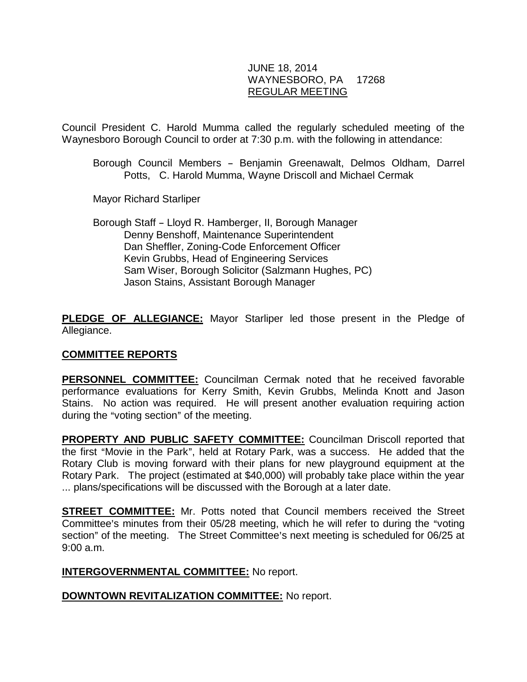# JUNE 18, 2014 WAYNESBORO, PA 17268 REGULAR MEETING

Council President C. Harold Mumma called the regularly scheduled meeting of the Waynesboro Borough Council to order at 7:30 p.m. with the following in attendance:

Borough Council Members - Benjamin Greenawalt, Delmos Oldham, Darrel Potts, C. Harold Mumma, Wayne Driscoll and Michael Cermak

Mayor Richard Starliper

Borough Staff - Lloyd R. Hamberger, II, Borough Manager Denny Benshoff, Maintenance Superintendent Dan Sheffler, Zoning-Code Enforcement Officer Kevin Grubbs, Head of Engineering Services Sam Wiser, Borough Solicitor (Salzmann Hughes, PC) Jason Stains, Assistant Borough Manager

**PLEDGE OF ALLEGIANCE:** Mayor Starliper led those present in the Pledge of Allegiance.

# **COMMITTEE REPORTS**

**PERSONNEL COMMITTEE:** Councilman Cermak noted that he received favorable performance evaluations for Kerry Smith, Kevin Grubbs, Melinda Knott and Jason Stains. No action was required. He will present another evaluation requiring action during the "voting section" of the meeting.

**PROPERTY AND PUBLIC SAFETY COMMITTEE:** Councilman Driscoll reported that the first "Movie in the Park", held at Rotary Park, was a success. He added that the Rotary Club is moving forward with their plans for new playground equipment at the Rotary Park. The project (estimated at \$40,000) will probably take place within the year ... plans/specifications will be discussed with the Borough at a later date.

**STREET COMMITTEE:** Mr. Potts noted that Council members received the Street Committee's minutes from their 05/28 meeting, which he will refer to during the "voting section" of the meeting. The Street Committee's next meeting is scheduled for 06/25 at 9:00 a.m.

# **INTERGOVERNMENTAL COMMITTEE:** No report.

# **DOWNTOWN REVITALIZATION COMMITTEE:** No report.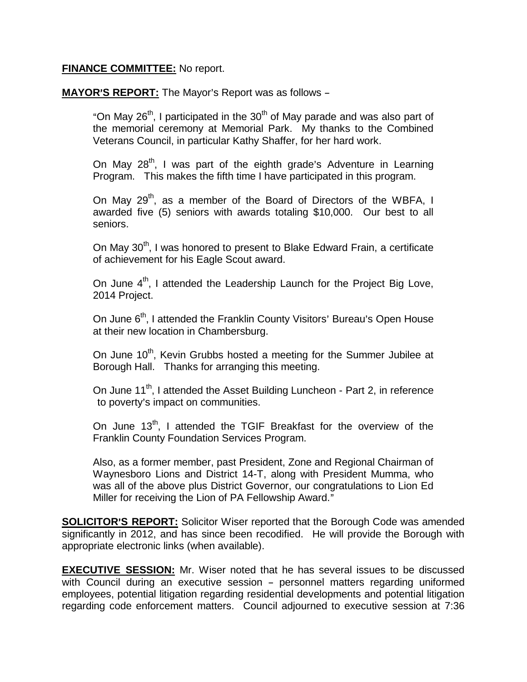### **FINANCE COMMITTEE:** No report.

MAYOR'S REPORT: The Mayor's Report was as follows -

"On May  $26<sup>th</sup>$ , I participated in the  $30<sup>th</sup>$  of May parade and was also part of the memorial ceremony at Memorial Park. My thanks to the Combined Veterans Council, in particular Kathy Shaffer, for her hard work.

On May  $28^{th}$ , I was part of the eighth grade's Adventure in Learning Program. This makes the fifth time I have participated in this program.

On May  $29<sup>th</sup>$ , as a member of the Board of Directors of the WBFA, I awarded five (5) seniors with awards totaling \$10,000. Our best to all seniors.

On May 30<sup>th</sup>, I was honored to present to Blake Edward Frain, a certificate of achievement for his Eagle Scout award.

On June 4<sup>th</sup>, I attended the Leadership Launch for the Project Big Love, 2014 Project.

On June 6<sup>th</sup>, I attended the Franklin County Visitors' Bureau's Open House at their new location in Chambersburg.

On June 10<sup>th</sup>, Kevin Grubbs hosted a meeting for the Summer Jubilee at Borough Hall. Thanks for arranging this meeting.

On June 11<sup>th</sup>, I attended the Asset Building Luncheon - Part 2, in reference to poverty's impact on communities.

On June 13<sup>th</sup>, I attended the TGIF Breakfast for the overview of the Franklin County Foundation Services Program.

Also, as a former member, past President, Zone and Regional Chairman of Waynesboro Lions and District 14-T, along with President Mumma, who was all of the above plus District Governor, our congratulations to Lion Ed Miller for receiving the Lion of PA Fellowship Award."

**SOLICITOR'S REPORT:** Solicitor Wiser reported that the Borough Code was amended significantly in 2012, and has since been recodified. He will provide the Borough with appropriate electronic links (when available).

**EXECUTIVE SESSION:** Mr. Wiser noted that he has several issues to be discussed with Council during an executive session - personnel matters regarding uniformed employees, potential litigation regarding residential developments and potential litigation regarding code enforcement matters. Council adjourned to executive session at 7:36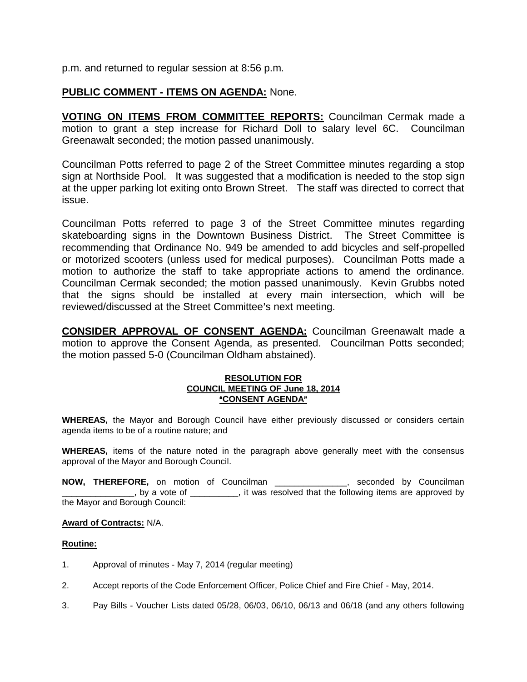p.m. and returned to regular session at 8:56 p.m.

# **PUBLIC COMMENT - ITEMS ON AGENDA:** None.

**VOTING ON ITEMS FROM COMMITTEE REPORTS:** Councilman Cermak made a motion to grant a step increase for Richard Doll to salary level 6C. Councilman Greenawalt seconded; the motion passed unanimously.

Councilman Potts referred to page 2 of the Street Committee minutes regarding a stop sign at Northside Pool. It was suggested that a modification is needed to the stop sign at the upper parking lot exiting onto Brown Street. The staff was directed to correct that issue.

Councilman Potts referred to page 3 of the Street Committee minutes regarding skateboarding signs in the Downtown Business District. The Street Committee is recommending that Ordinance No. 949 be amended to add bicycles and self-propelled or motorized scooters (unless used for medical purposes). Councilman Potts made a motion to authorize the staff to take appropriate actions to amend the ordinance. Councilman Cermak seconded; the motion passed unanimously. Kevin Grubbs noted that the signs should be installed at every main intersection, which will be reviewed/discussed at the Street Committee's next meeting.

**CONSIDER APPROVAL OF CONSENT AGENDA:** Councilman Greenawalt made a motion to approve the Consent Agenda, as presented. Councilman Potts seconded; the motion passed 5-0 (Councilman Oldham abstained).

#### **RESOLUTION FOR COUNCIL MEETING OF June 18, 2014** *<u>"CONSENT AGENDA"</u>*

**WHEREAS,** the Mayor and Borough Council have either previously discussed or considers certain agenda items to be of a routine nature; and

**WHEREAS,** items of the nature noted in the paragraph above generally meet with the consensus approval of the Mayor and Borough Council.

**NOW, THEREFORE,** on motion of Councilman \_\_\_\_\_\_\_\_\_\_\_\_\_\_\_, seconded by Councilman  $\Box$ , by a vote of  $\Box$   $\Box$ , it was resolved that the following items are approved by the Mayor and Borough Council:

#### **Award of Contracts:** N/A.

#### **Routine:**

- 1. Approval of minutes May 7, 2014 (regular meeting)
- 2. Accept reports of the Code Enforcement Officer, Police Chief and Fire Chief May, 2014.
- 3. Pay Bills Voucher Lists dated 05/28, 06/03, 06/10, 06/13 and 06/18 (and any others following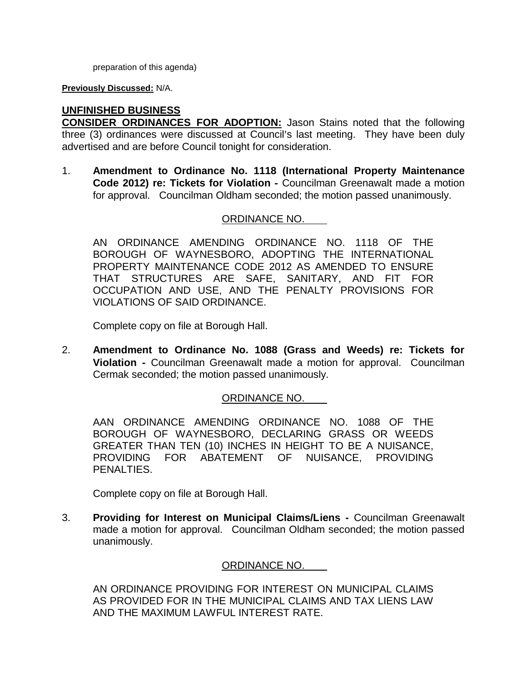preparation of this agenda)

**Previously Discussed:** N/A.

**UNFINISHED BUSINESS**

**CONSIDER ORDINANCES FOR ADOPTION:** Jason Stains noted that the following three (3) ordinances were discussed at Council's last meeting. They have been duly advertised and are before Council tonight for consideration.

1. **Amendment to Ordinance No. 1118 (International Property Maintenance Code 2012) re: Tickets for Violation -** Councilman Greenawalt made a motion for approval. Councilman Oldham seconded; the motion passed unanimously.

# ORDINANCE NO.

AN ORDINANCE AMENDING ORDINANCE NO. 1118 OF THE BOROUGH OF WAYNESBORO, ADOPTING THE INTERNATIONAL PROPERTY MAINTENANCE CODE 2012 AS AMENDED TO ENSURE THAT STRUCTURES ARE SAFE, SANITARY, AND FIT FOR OCCUPATION AND USE, AND THE PENALTY PROVISIONS FOR VIOLATIONS OF SAID ORDINANCE.

Complete copy on file at Borough Hall.

2. **Amendment to Ordinance No. 1088 (Grass and Weeds) re: Tickets for Violation -** Councilman Greenawalt made a motion for approval. Councilman Cermak seconded; the motion passed unanimously.

# ORDINANCE NO.

AAN ORDINANCE AMENDING ORDINANCE NO. 1088 OF THE BOROUGH OF WAYNESBORO, DECLARING GRASS OR WEEDS GREATER THAN TEN (10) INCHES IN HEIGHT TO BE A NUISANCE, PROVIDING FOR ABATEMENT OF NUISANCE, PROVIDING PENALTIES.

Complete copy on file at Borough Hall.

3. **Providing for Interest on Municipal Claims/Liens -** Councilman Greenawalt made a motion for approval. Councilman Oldham seconded; the motion passed unanimously.

# ORDINANCE NO.

AN ORDINANCE PROVIDING FOR INTEREST ON MUNICIPAL CLAIMS AS PROVIDED FOR IN THE MUNICIPAL CLAIMS AND TAX LIENS LAW AND THE MAXIMUM LAWFUL INTEREST RATE.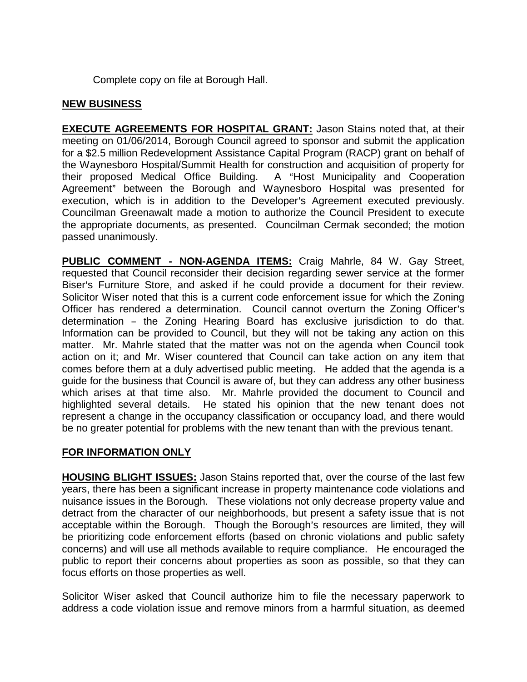Complete copy on file at Borough Hall.

### **NEW BUSINESS**

**EXECUTE AGREEMENTS FOR HOSPITAL GRANT: Jason Stains noted that, at their** meeting on 01/06/2014, Borough Council agreed to sponsor and submit the application for a \$2.5 million Redevelopment Assistance Capital Program (RACP) grant on behalf of the Waynesboro Hospital/Summit Health for construction and acquisition of property for their proposed Medical Office Building. A "Host Municipality and Cooperation Agreement" between the Borough and Waynesboro Hospital was presented for execution, which is in addition to the Developer's Agreement executed previously. Councilman Greenawalt made a motion to authorize the Council President to execute the appropriate documents, as presented. Councilman Cermak seconded; the motion passed unanimously.

**PUBLIC COMMENT - NON-AGENDA ITEMS:** Craig Mahrle, 84 W. Gay Street, requested that Council reconsider their decision regarding sewer service at the former Biser's Furniture Store, and asked if he could provide a document for their review. Solicitor Wiser noted that this is a current code enforcement issue for which the Zoning Officer has rendered a determination. Council cannot overturn the Zoning Officer's determination - the Zoning Hearing Board has exclusive jurisdiction to do that. Information can be provided to Council, but they will not be taking any action on this matter. Mr. Mahrle stated that the matter was not on the agenda when Council took action on it; and Mr. Wiser countered that Council can take action on any item that comes before them at a duly advertised public meeting. He added that the agenda is a guide for the business that Council is aware of, but they can address any other business which arises at that time also. Mr. Mahrle provided the document to Council and highlighted several details. He stated his opinion that the new tenant does not represent a change in the occupancy classification or occupancy load, and there would be no greater potential for problems with the new tenant than with the previous tenant.

# **FOR INFORMATION ONLY**

**HOUSING BLIGHT ISSUES:** Jason Stains reported that, over the course of the last few years, there has been a significant increase in property maintenance code violations and nuisance issues in the Borough. These violations not only decrease property value and detract from the character of our neighborhoods, but present a safety issue that is not acceptable within the Borough. Though the Borough's resources are limited, they will be prioritizing code enforcement efforts (based on chronic violations and public safety concerns) and will use all methods available to require compliance. He encouraged the public to report their concerns about properties as soon as possible, so that they can focus efforts on those properties as well.

Solicitor Wiser asked that Council authorize him to file the necessary paperwork to address a code violation issue and remove minors from a harmful situation, as deemed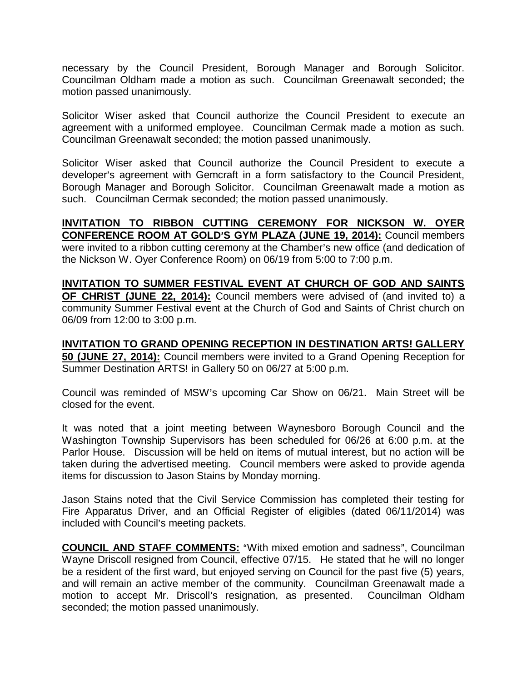necessary by the Council President, Borough Manager and Borough Solicitor. Councilman Oldham made a motion as such. Councilman Greenawalt seconded; the motion passed unanimously.

Solicitor Wiser asked that Council authorize the Council President to execute an agreement with a uniformed employee. Councilman Cermak made a motion as such. Councilman Greenawalt seconded; the motion passed unanimously.

Solicitor Wiser asked that Council authorize the Council President to execute a developer's agreement with Gemcraft in a form satisfactory to the Council President, Borough Manager and Borough Solicitor. Councilman Greenawalt made a motion as such. Councilman Cermak seconded; the motion passed unanimously.

**INVITATION TO RIBBON CUTTING CEREMONY FOR NICKSON W. OYER CONFERENCE ROOM AT GOLD**=**S GYM PLAZA (JUNE 19, 2014):** Council members were invited to a ribbon cutting ceremony at the Chamber's new office (and dedication of the Nickson W. Oyer Conference Room) on 06/19 from 5:00 to 7:00 p.m.

**INVITATION TO SUMMER FESTIVAL EVENT AT CHURCH OF GOD AND SAINTS OF CHRIST (JUNE 22, 2014):** Council members were advised of (and invited to) a community Summer Festival event at the Church of God and Saints of Christ church on 06/09 from 12:00 to 3:00 p.m.

**INVITATION TO GRAND OPENING RECEPTION IN DESTINATION ARTS! GALLERY 50 (JUNE 27, 2014):** Council members were invited to a Grand Opening Reception for Summer Destination ARTS! in Gallery 50 on 06/27 at 5:00 p.m.

Council was reminded of MSW's upcoming Car Show on 06/21. Main Street will be closed for the event.

It was noted that a joint meeting between Waynesboro Borough Council and the Washington Township Supervisors has been scheduled for 06/26 at 6:00 p.m. at the Parlor House. Discussion will be held on items of mutual interest, but no action will be taken during the advertised meeting. Council members were asked to provide agenda items for discussion to Jason Stains by Monday morning.

Jason Stains noted that the Civil Service Commission has completed their testing for Fire Apparatus Driver, and an Official Register of eligibles (dated 06/11/2014) was included with Council's meeting packets.

**COUNCIL AND STAFF COMMENTS:** "With mixed emotion and sadness", Councilman Wayne Driscoll resigned from Council, effective 07/15. He stated that he will no longer be a resident of the first ward, but enjoyed serving on Council for the past five (5) years, and will remain an active member of the community. Councilman Greenawalt made a motion to accept Mr. Driscoll's resignation, as presented. Councilman Oldham seconded; the motion passed unanimously.